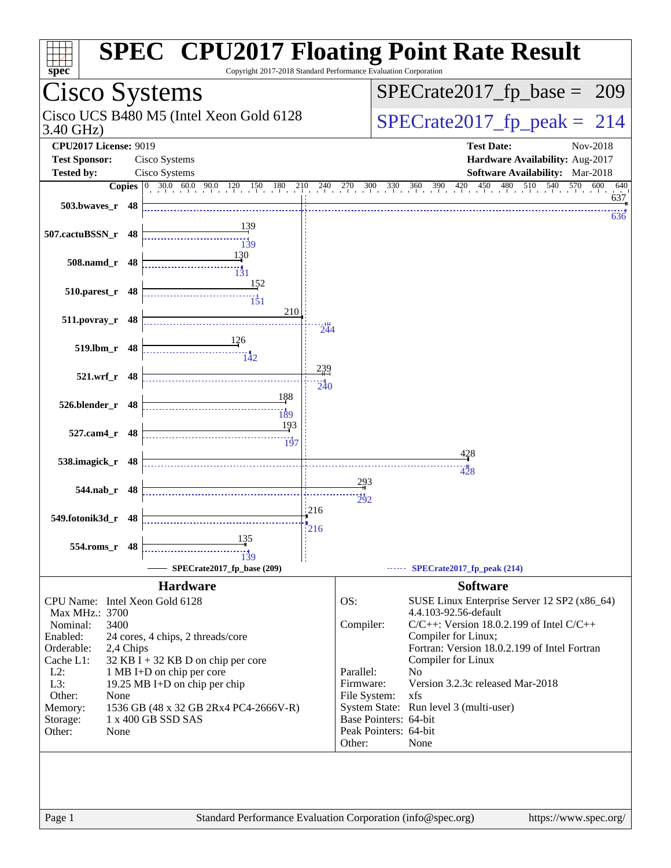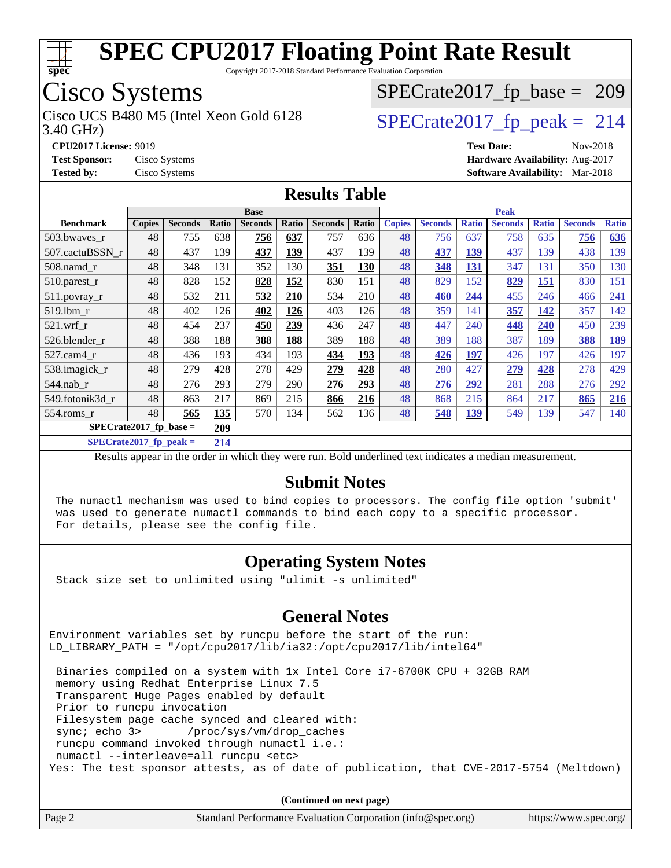

Copyright 2017-2018 Standard Performance Evaluation Corporation

### Cisco Systems

Cisco UCS B480 M5 (Intel Xeon Gold 6128  $SPECrate2017$  [p\_peak = 214

[SPECrate2017\\_fp\\_base =](http://www.spec.org/auto/cpu2017/Docs/result-fields.html#SPECrate2017fpbase) 209

3.40 GHz)

**[CPU2017 License:](http://www.spec.org/auto/cpu2017/Docs/result-fields.html#CPU2017License)** 9019 **[Test Date:](http://www.spec.org/auto/cpu2017/Docs/result-fields.html#TestDate)** Nov-2018 **[Test Sponsor:](http://www.spec.org/auto/cpu2017/Docs/result-fields.html#TestSponsor)** Cisco Systems **[Hardware Availability:](http://www.spec.org/auto/cpu2017/Docs/result-fields.html#HardwareAvailability)** Aug-2017 **[Tested by:](http://www.spec.org/auto/cpu2017/Docs/result-fields.html#Testedby)** Cisco Systems **[Software Availability:](http://www.spec.org/auto/cpu2017/Docs/result-fields.html#SoftwareAvailability)** Mar-2018

#### **[Results Table](http://www.spec.org/auto/cpu2017/Docs/result-fields.html#ResultsTable)**

|                  | <b>Base</b>                      |                |       |                | <b>Peak</b> |                |       |               |                |              |                |              |                |              |
|------------------|----------------------------------|----------------|-------|----------------|-------------|----------------|-------|---------------|----------------|--------------|----------------|--------------|----------------|--------------|
| <b>Benchmark</b> | <b>Copies</b>                    | <b>Seconds</b> | Ratio | <b>Seconds</b> | Ratio       | <b>Seconds</b> | Ratio | <b>Copies</b> | <b>Seconds</b> | <b>Ratio</b> | <b>Seconds</b> | <b>Ratio</b> | <b>Seconds</b> | <b>Ratio</b> |
| 503.bwaves_r     | 48                               | 755            | 638   | 756            | 637         | 757            | 636   | 48            | 756            | 637          | 758            | 635          | 756            | 636          |
| 507.cactuBSSN r  | 48                               | 437            | 139   | 437            | 139         | 437            | 139   | 48            | 437            | 139          | 437            | 139          | 438            | 139          |
| $508$ .namd $r$  | 48                               | 348            | 131   | 352            | 130         | 351            | 130   | 48            | 348            | 131          | 347            | 131          | 350            | 130          |
| 510.parest_r     | 48                               | 828            | 152   | 828            | 152         | 830            | 151   | 48            | 829            | 152          | 829            | 151          | 830            | 151          |
| 511.povray_r     | 48                               | 532            | 211   | 532            | 210         | 534            | 210   | 48            | 460            | 244          | 455            | 246          | 466            | 241          |
| 519.1bm_r        | 48                               | 402            | 126   | 402            | 126         | 403            | 126   | 48            | 359            | 141          | 357            | 142          | 357            | 142          |
| $521$ .wrf r     | 48                               | 454            | 237   | 450            | 239         | 436            | 247   | 48            | 447            | 240          | 448            | 240          | 450            | 239          |
| 526.blender r    | 48                               | 388            | 188   | 388            | 188         | 389            | 188   | 48            | 389            | 188          | 387            | 189          | 388            | 189          |
| $527$ .cam $4r$  | 48                               | 436            | 193   | 434            | 193         | 434            | 193   | 48            | 426            | 197          | 426            | 197          | 426            | 197          |
| 538.imagick_r    | 48                               | 279            | 428   | 278            | 429         | 279            | 428   | 48            | 280            | 427          | 279            | 428          | 278            | 429          |
| $544$ .nab r     | 48                               | 276            | 293   | 279            | 290         | 276            | 293   | 48            | 276            | 292          | 281            | 288          | 276            | 292          |
| 549.fotonik3d r  | 48                               | 863            | 217   | 869            | 215         | 866            | 216   | 48            | 868            | 215          | 864            | 217          | 865            | 216          |
| $554$ .roms $r$  | 48                               | 565            | 135   | 570            | 134         | 562            | 136   | 48            | 548            | 139          | 549            | 139          | 547            | 140          |
|                  | $SPECrate2017_fp\_base =$<br>209 |                |       |                |             |                |       |               |                |              |                |              |                |              |

**[SPECrate2017\\_fp\\_peak =](http://www.spec.org/auto/cpu2017/Docs/result-fields.html#SPECrate2017fppeak) 214**

Results appear in the [order in which they were run](http://www.spec.org/auto/cpu2017/Docs/result-fields.html#RunOrder). Bold underlined text [indicates a median measurement](http://www.spec.org/auto/cpu2017/Docs/result-fields.html#Median).

#### **[Submit Notes](http://www.spec.org/auto/cpu2017/Docs/result-fields.html#SubmitNotes)**

 The numactl mechanism was used to bind copies to processors. The config file option 'submit' was used to generate numactl commands to bind each copy to a specific processor. For details, please see the config file.

#### **[Operating System Notes](http://www.spec.org/auto/cpu2017/Docs/result-fields.html#OperatingSystemNotes)**

Stack size set to unlimited using "ulimit -s unlimited"

#### **[General Notes](http://www.spec.org/auto/cpu2017/Docs/result-fields.html#GeneralNotes)**

Environment variables set by runcpu before the start of the run: LD LIBRARY PATH = "/opt/cpu2017/lib/ia32:/opt/cpu2017/lib/intel64"

 Binaries compiled on a system with 1x Intel Core i7-6700K CPU + 32GB RAM memory using Redhat Enterprise Linux 7.5 Transparent Huge Pages enabled by default Prior to runcpu invocation Filesystem page cache synced and cleared with: sync; echo 3> /proc/sys/vm/drop\_caches runcpu command invoked through numactl i.e.: numactl --interleave=all runcpu <etc> Yes: The test sponsor attests, as of date of publication, that CVE-2017-5754 (Meltdown)

**(Continued on next page)**

| Page 2 | Standard Performance Evaluation Corporation (info@spec.org) | https://www.spec.org/ |
|--------|-------------------------------------------------------------|-----------------------|
|--------|-------------------------------------------------------------|-----------------------|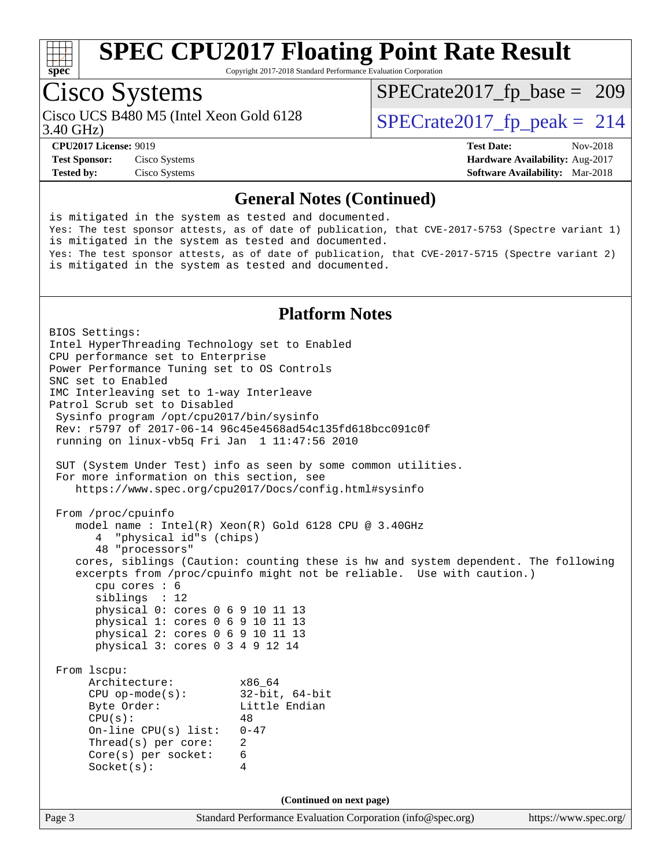

Copyright 2017-2018 Standard Performance Evaluation Corporation

### Cisco Systems

Cisco UCS B480 M5 (Intel Xeon Gold 6128<br>3.40 GHz)

 $SPECTate 2017_fp\_peak = 214$ [SPECrate2017\\_fp\\_base =](http://www.spec.org/auto/cpu2017/Docs/result-fields.html#SPECrate2017fpbase) 209

**[Tested by:](http://www.spec.org/auto/cpu2017/Docs/result-fields.html#Testedby)** Cisco Systems **[Software Availability:](http://www.spec.org/auto/cpu2017/Docs/result-fields.html#SoftwareAvailability)** Mar-2018

**[CPU2017 License:](http://www.spec.org/auto/cpu2017/Docs/result-fields.html#CPU2017License)** 9019 **[Test Date:](http://www.spec.org/auto/cpu2017/Docs/result-fields.html#TestDate)** Nov-2018 **[Test Sponsor:](http://www.spec.org/auto/cpu2017/Docs/result-fields.html#TestSponsor)** Cisco Systems **[Hardware Availability:](http://www.spec.org/auto/cpu2017/Docs/result-fields.html#HardwareAvailability)** Aug-2017

#### **[General Notes \(Continued\)](http://www.spec.org/auto/cpu2017/Docs/result-fields.html#GeneralNotes)**

is mitigated in the system as tested and documented. Yes: The test sponsor attests, as of date of publication, that CVE-2017-5753 (Spectre variant 1) is mitigated in the system as tested and documented. Yes: The test sponsor attests, as of date of publication, that CVE-2017-5715 (Spectre variant 2) is mitigated in the system as tested and documented.

#### **[Platform Notes](http://www.spec.org/auto/cpu2017/Docs/result-fields.html#PlatformNotes)**

Page 3 Standard Performance Evaluation Corporation [\(info@spec.org\)](mailto:info@spec.org) <https://www.spec.org/> BIOS Settings: Intel HyperThreading Technology set to Enabled CPU performance set to Enterprise Power Performance Tuning set to OS Controls SNC set to Enabled IMC Interleaving set to 1-way Interleave Patrol Scrub set to Disabled Sysinfo program /opt/cpu2017/bin/sysinfo Rev: r5797 of 2017-06-14 96c45e4568ad54c135fd618bcc091c0f running on linux-vb5q Fri Jan 1 11:47:56 2010 SUT (System Under Test) info as seen by some common utilities. For more information on this section, see <https://www.spec.org/cpu2017/Docs/config.html#sysinfo> From /proc/cpuinfo model name : Intel(R) Xeon(R) Gold 6128 CPU @ 3.40GHz 4 "physical id"s (chips) 48 "processors" cores, siblings (Caution: counting these is hw and system dependent. The following excerpts from /proc/cpuinfo might not be reliable. Use with caution.) cpu cores : 6 siblings : 12 physical 0: cores 0 6 9 10 11 13 physical 1: cores 0 6 9 10 11 13 physical 2: cores 0 6 9 10 11 13 physical 3: cores 0 3 4 9 12 14 From lscpu: Architecture: x86\_64<br>
CPU op-mode(s): 32-bit, 64-bit CPU op-mode(s):<br>Byte Order: Little Endian  $CPU(s):$  48 On-line CPU(s) list: 0-47 Thread(s) per core: 2 Core(s) per socket: 6 Socket(s): 4 **(Continued on next page)**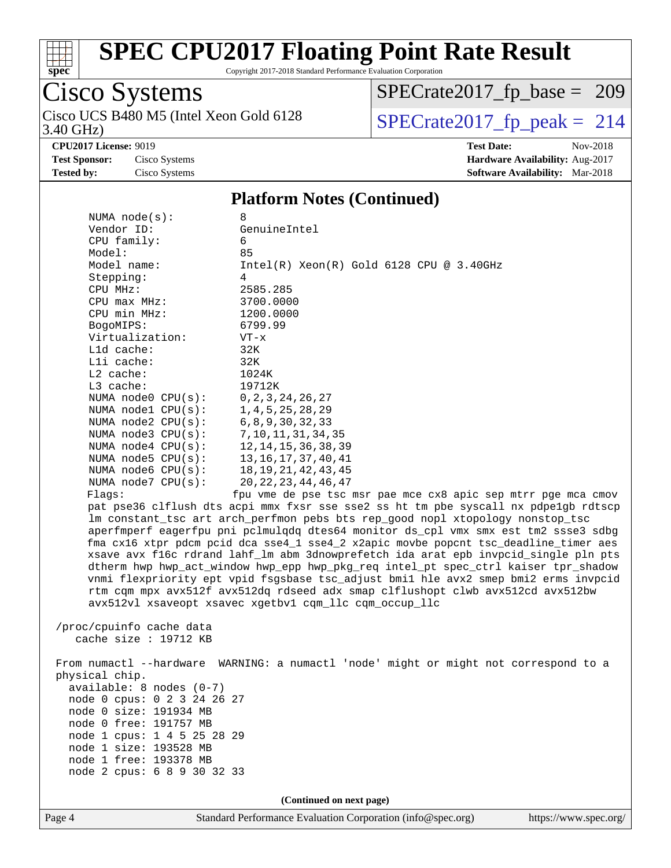

Copyright 2017-2018 Standard Performance Evaluation Corporation

# Cisco Systems

3.40 GHz) Cisco UCS B480 M5 (Intel Xeon Gold 6128  $SPECrate2017$  [p\_peak = 214

[SPECrate2017\\_fp\\_base =](http://www.spec.org/auto/cpu2017/Docs/result-fields.html#SPECrate2017fpbase) 209

**[CPU2017 License:](http://www.spec.org/auto/cpu2017/Docs/result-fields.html#CPU2017License)** 9019 **[Test Date:](http://www.spec.org/auto/cpu2017/Docs/result-fields.html#TestDate)** Nov-2018

**[Test Sponsor:](http://www.spec.org/auto/cpu2017/Docs/result-fields.html#TestSponsor)** Cisco Systems **[Hardware Availability:](http://www.spec.org/auto/cpu2017/Docs/result-fields.html#HardwareAvailability)** Aug-2017 **[Tested by:](http://www.spec.org/auto/cpu2017/Docs/result-fields.html#Testedby)** Cisco Systems **[Software Availability:](http://www.spec.org/auto/cpu2017/Docs/result-fields.html#SoftwareAvailability)** Mar-2018

#### **[Platform Notes \(Continued\)](http://www.spec.org/auto/cpu2017/Docs/result-fields.html#PlatformNotes)**

| NUMA $node(s)$ :            | 8                                                                                    |
|-----------------------------|--------------------------------------------------------------------------------------|
| Vendor ID:                  | GenuineIntel                                                                         |
| CPU family:                 | 6                                                                                    |
| Model:                      | 85                                                                                   |
| Model name:                 | $Intel(R) Xeon(R) Gold 6128 CPU @ 3.40GHz$                                           |
| Stepping:                   | 4                                                                                    |
| CPU MHz:                    | 2585.285                                                                             |
| $CPU$ max $MHz$ :           | 3700.0000                                                                            |
| CPU min MHz:                | 1200.0000                                                                            |
| BogoMIPS:                   | 6799.99                                                                              |
| Virtualization:             | $VT - x$                                                                             |
| Lld cache:                  | 32K                                                                                  |
| Lli cache:                  | 32K                                                                                  |
| $L2$ cache:                 | 1024K                                                                                |
| L3 cache:                   | 19712K                                                                               |
| NUMA node0 CPU(s):          | 0, 2, 3, 24, 26, 27                                                                  |
| NUMA nodel $CPU(s):$        | 1, 4, 5, 25, 28, 29                                                                  |
| NUMA node2 CPU(s):          | 6, 8, 9, 30, 32, 33                                                                  |
| NUMA node3 CPU(s):          | 7, 10, 11, 31, 34, 35                                                                |
| NUMA $node4$ CPU $(s)$ :    | 12, 14, 15, 36, 38, 39                                                               |
| NUMA node5 $CPU(s):$        | 13, 16, 17, 37, 40, 41                                                               |
| NUMA node6 $CPU(s):$        | 18, 19, 21, 42, 43, 45                                                               |
| NUMA $node7$ CPU $(s)$ :    | 20, 22, 23, 44, 46, 47                                                               |
| Flags:                      | fpu vme de pse tsc msr pae mce cx8 apic sep mtrr pge mca cmov                        |
|                             | pat pse36 clflush dts acpi mmx fxsr sse sse2 ss ht tm pbe syscall nx pdpelgb rdtscp  |
|                             | lm constant_tsc art arch_perfmon pebs bts rep_good nopl xtopology nonstop_tsc        |
|                             | aperfmperf eagerfpu pni pclmulqdq dtes64 monitor ds_cpl vmx smx est tm2 ssse3 sdbg   |
|                             | fma cx16 xtpr pdcm pcid dca sse4_1 sse4_2 x2apic movbe popcnt tsc_deadline_timer aes |
|                             | xsave avx f16c rdrand lahf_lm abm 3dnowprefetch ida arat epb invpcid_single pln pts  |
|                             | dtherm hwp hwp_act_window hwp_epp hwp_pkg_req intel_pt spec_ctrl kaiser tpr_shadow   |
|                             | vnmi flexpriority ept vpid fsgsbase tsc_adjust bmil hle avx2 smep bmi2 erms invpcid  |
|                             | rtm cqm mpx avx512f avx512dq rdseed adx smap clflushopt clwb avx512cd avx512bw       |
|                             | avx512vl xsaveopt xsavec xgetbv1 cqm_llc cqm_occup_llc                               |
|                             |                                                                                      |
| /proc/cpuinfo cache data    |                                                                                      |
| cache size : $19712$ KB     |                                                                                      |
|                             |                                                                                      |
|                             | From numactl --hardware WARNING: a numactl 'node' might or might not correspond to a |
| physical chip.              |                                                                                      |
| $available: 8 nodes (0-7)$  |                                                                                      |
| node 0 cpus: 0 2 3 24 26 27 |                                                                                      |
| node 0 size: 191934 MB      |                                                                                      |
| node 0 free: 191757 MB      |                                                                                      |

 node 1 size: 193528 MB node 1 free: 193378 MB node 2 cpus: 6 8 9 30 32 33

node 1 cpus: 1 4 5 25 28 29

**(Continued on next page)**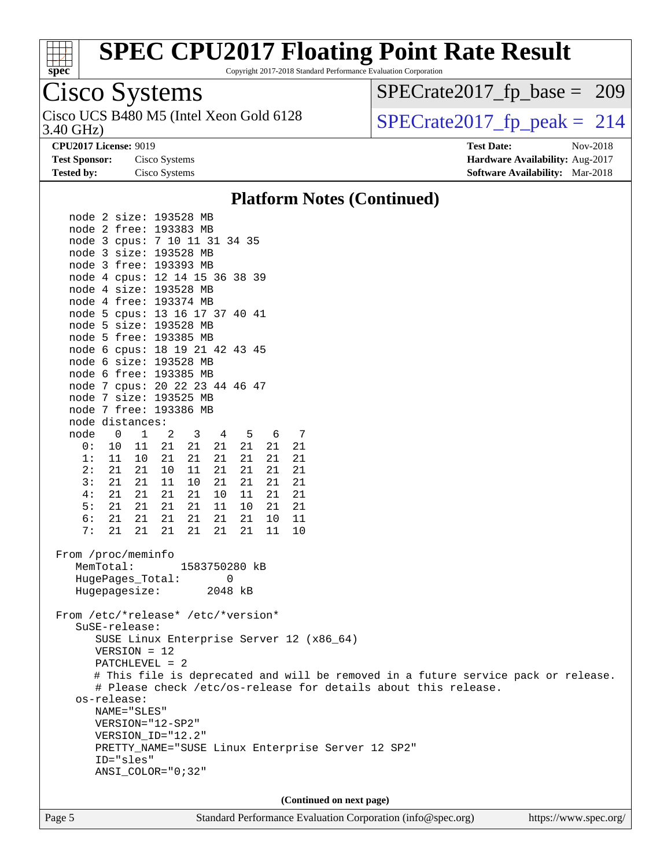

Copyright 2017-2018 Standard Performance Evaluation Corporation

### Cisco Systems

3.40 GHz) Cisco UCS B480 M5 (Intel Xeon Gold 6128  $\vert$  [SPECrate2017\\_fp\\_peak =](http://www.spec.org/auto/cpu2017/Docs/result-fields.html#SPECrate2017fppeak) 214

[SPECrate2017\\_fp\\_base =](http://www.spec.org/auto/cpu2017/Docs/result-fields.html#SPECrate2017fpbase) 209

**[CPU2017 License:](http://www.spec.org/auto/cpu2017/Docs/result-fields.html#CPU2017License)** 9019 **[Test Date:](http://www.spec.org/auto/cpu2017/Docs/result-fields.html#TestDate)** Nov-2018 **[Test Sponsor:](http://www.spec.org/auto/cpu2017/Docs/result-fields.html#TestSponsor)** Cisco Systems **[Hardware Availability:](http://www.spec.org/auto/cpu2017/Docs/result-fields.html#HardwareAvailability)** Aug-2017 **[Tested by:](http://www.spec.org/auto/cpu2017/Docs/result-fields.html#Testedby)** Cisco Systems **[Software Availability:](http://www.spec.org/auto/cpu2017/Docs/result-fields.html#SoftwareAvailability)** Mar-2018

#### **[Platform Notes \(Continued\)](http://www.spec.org/auto/cpu2017/Docs/result-fields.html#PlatformNotes)**

Page 5 Standard Performance Evaluation Corporation [\(info@spec.org\)](mailto:info@spec.org) <https://www.spec.org/> node 2 size: 193528 MB node 2 free: 193383 MB node 3 cpus: 7 10 11 31 34 35 node 3 size: 193528 MB node 3 free: 193393 MB node 4 cpus: 12 14 15 36 38 39 node 4 size: 193528 MB node 4 free: 193374 MB node 5 cpus: 13 16 17 37 40 41 node 5 size: 193528 MB node 5 free: 193385 MB node 6 cpus: 18 19 21 42 43 45 node 6 size: 193528 MB node 6 free: 193385 MB node 7 cpus: 20 22 23 44 46 47 node 7 size: 193525 MB node 7 free: 193386 MB node distances: node 0 1 2 3 4 5 6 7 0: 10 11 21 21 21 21 21 21 1: 11 10 21 21 21 21 21 21 2: 21 21 10 11 21 21 21 21 3: 21 21 11 10 21 21 21 21 4: 21 21 21 21 10 11 21 21 5: 21 21 21 21 11 10 21 21 6: 21 21 21 21 21 21 10 11 7: 21 21 21 21 21 21 11 10 From /proc/meminfo MemTotal: 1583750280 kB HugePages\_Total: 0 Hugepagesize: 2048 kB From /etc/\*release\* /etc/\*version\* SuSE-release: SUSE Linux Enterprise Server 12 (x86\_64) VERSION = 12 PATCHLEVEL = 2 # This file is deprecated and will be removed in a future service pack or release. # Please check /etc/os-release for details about this release. os-release: NAME="SLES" VERSION="12-SP2" VERSION\_ID="12.2" PRETTY\_NAME="SUSE Linux Enterprise Server 12 SP2" ID="sles" ANSI\_COLOR="0;32" **(Continued on next page)**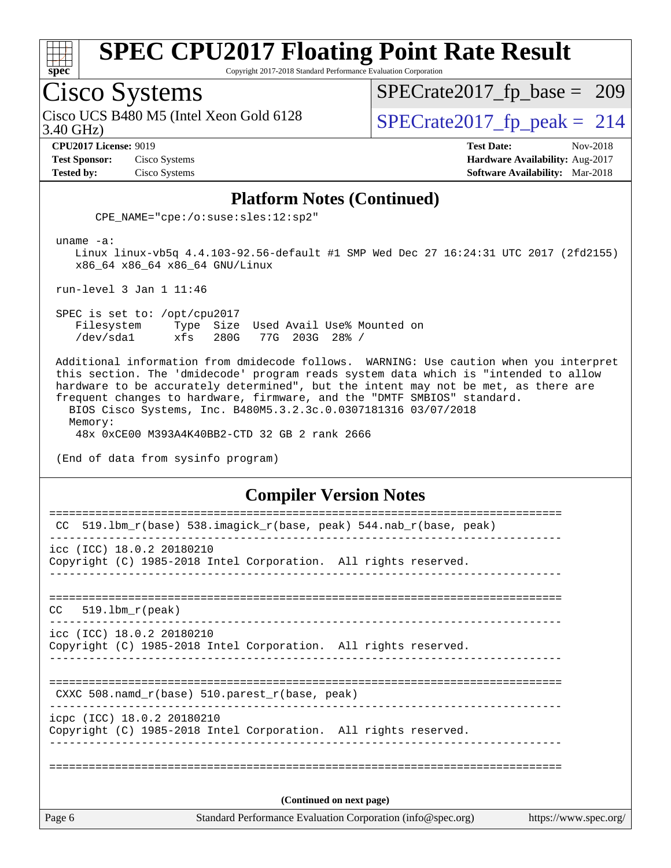

Copyright 2017-2018 Standard Performance Evaluation Corporation

### Cisco Systems

3.40 GHz) Cisco UCS B480 M5 (Intel Xeon Gold 6128  $\vert$  [SPECrate2017\\_fp\\_peak =](http://www.spec.org/auto/cpu2017/Docs/result-fields.html#SPECrate2017fppeak) 214

[SPECrate2017\\_fp\\_base =](http://www.spec.org/auto/cpu2017/Docs/result-fields.html#SPECrate2017fpbase) 209

**[Test Sponsor:](http://www.spec.org/auto/cpu2017/Docs/result-fields.html#TestSponsor)** Cisco Systems **[Hardware Availability:](http://www.spec.org/auto/cpu2017/Docs/result-fields.html#HardwareAvailability)** Aug-2017

**[CPU2017 License:](http://www.spec.org/auto/cpu2017/Docs/result-fields.html#CPU2017License)** 9019 **[Test Date:](http://www.spec.org/auto/cpu2017/Docs/result-fields.html#TestDate)** Nov-2018 **[Tested by:](http://www.spec.org/auto/cpu2017/Docs/result-fields.html#Testedby)** Cisco Systems **[Software Availability:](http://www.spec.org/auto/cpu2017/Docs/result-fields.html#SoftwareAvailability)** Mar-2018

#### **[Platform Notes \(Continued\)](http://www.spec.org/auto/cpu2017/Docs/result-fields.html#PlatformNotes)**

CPE\_NAME="cpe:/o:suse:sles:12:sp2"

uname -a:

 Linux linux-vb5q 4.4.103-92.56-default #1 SMP Wed Dec 27 16:24:31 UTC 2017 (2fd2155) x86\_64 x86\_64 x86\_64 GNU/Linux

run-level 3 Jan 1 11:46

 SPEC is set to: /opt/cpu2017 Filesystem Type Size Used Avail Use% Mounted on /dev/sda1 xfs 280G 77G 203G 28% /

 Additional information from dmidecode follows. WARNING: Use caution when you interpret this section. The 'dmidecode' program reads system data which is "intended to allow hardware to be accurately determined", but the intent may not be met, as there are frequent changes to hardware, firmware, and the "DMTF SMBIOS" standard. BIOS Cisco Systems, Inc. B480M5.3.2.3c.0.0307181316 03/07/2018 Memory: 48x 0xCE00 M393A4K40BB2-CTD 32 GB 2 rank 2666

(End of data from sysinfo program)

#### **[Compiler Version Notes](http://www.spec.org/auto/cpu2017/Docs/result-fields.html#CompilerVersionNotes)**

| Page 6                    | Standard Performance Evaluation Corporation (info@spec.org)                                   | https://www.spec.org/ |  |  |
|---------------------------|-----------------------------------------------------------------------------------------------|-----------------------|--|--|
| (Continued on next page)  |                                                                                               |                       |  |  |
|                           |                                                                                               |                       |  |  |
|                           | icpc (ICC) 18.0.2 20180210<br>Copyright (C) 1985-2018 Intel Corporation. All rights reserved. |                       |  |  |
|                           | CXXC 508.namd_r(base) 510.parest_r(base, peak)                                                |                       |  |  |
|                           |                                                                                               |                       |  |  |
|                           | icc (ICC) 18.0.2 20180210<br>Copyright (C) 1985-2018 Intel Corporation. All rights reserved.  |                       |  |  |
| $519.1$ bm_r(peak)<br>CC. |                                                                                               |                       |  |  |
|                           | Copyright (C) 1985-2018 Intel Corporation. All rights reserved.                               |                       |  |  |
|                           | icc (ICC) 18.0.2 20180210                                                                     |                       |  |  |
| CC.                       | 519.1bm_r(base) 538.imagick_r(base, peak) 544.nab_r(base, peak)                               |                       |  |  |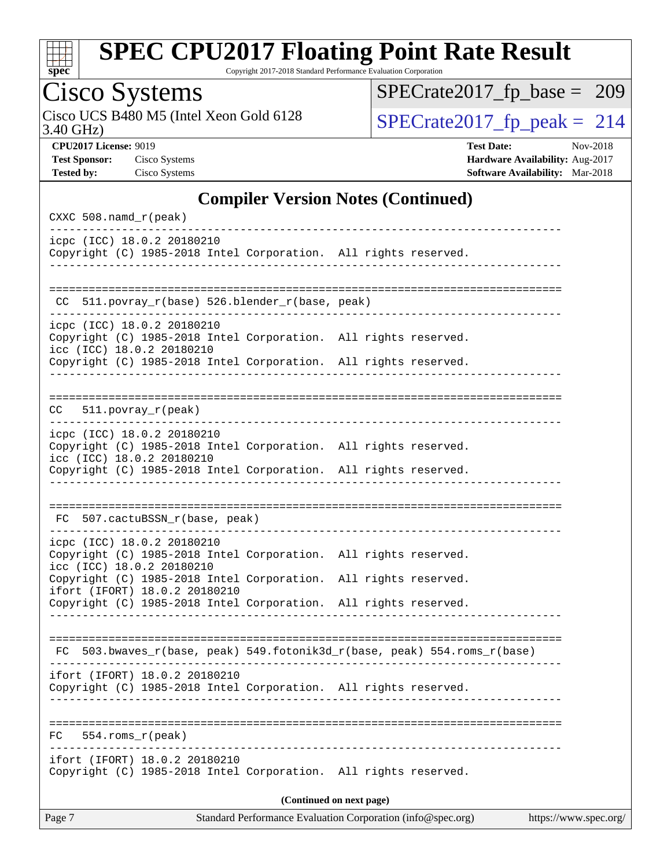

Copyright 2017-2018 Standard Performance Evaluation Corporation

# Cisco Systems

3.40 GHz) Cisco UCS B480 M5 (Intel Xeon Gold 6128  $SPECrate2017$  [p\_peak = 214

[SPECrate2017\\_fp\\_base =](http://www.spec.org/auto/cpu2017/Docs/result-fields.html#SPECrate2017fpbase) 209

**[CPU2017 License:](http://www.spec.org/auto/cpu2017/Docs/result-fields.html#CPU2017License)** 9019 **[Test Date:](http://www.spec.org/auto/cpu2017/Docs/result-fields.html#TestDate)** Nov-2018 **[Test Sponsor:](http://www.spec.org/auto/cpu2017/Docs/result-fields.html#TestSponsor)** Cisco Systems **[Hardware Availability:](http://www.spec.org/auto/cpu2017/Docs/result-fields.html#HardwareAvailability)** Aug-2017 **[Tested by:](http://www.spec.org/auto/cpu2017/Docs/result-fields.html#Testedby)** Cisco Systems **[Software Availability:](http://www.spec.org/auto/cpu2017/Docs/result-fields.html#SoftwareAvailability)** Mar-2018

#### **[Compiler Version Notes \(Continued\)](http://www.spec.org/auto/cpu2017/Docs/result-fields.html#CompilerVersionNotes)**

| CXXC 508.namd_r(peak)                                                                                                      |                                                             |                       |
|----------------------------------------------------------------------------------------------------------------------------|-------------------------------------------------------------|-----------------------|
| icpc (ICC) 18.0.2 20180210<br>Copyright (C) 1985-2018 Intel Corporation. All rights reserved.                              |                                                             |                       |
| 511.povray_r(base) 526.blender_r(base, peak)<br>CC.                                                                        |                                                             |                       |
|                                                                                                                            |                                                             |                       |
| icpc (ICC) 18.0.2 20180210<br>Copyright (C) 1985-2018 Intel Corporation. All rights reserved.<br>icc (ICC) 18.0.2 20180210 |                                                             |                       |
| Copyright (C) 1985-2018 Intel Corporation. All rights reserved.                                                            |                                                             |                       |
| CC<br>$511. povray_r (peak)$                                                                                               |                                                             |                       |
| icpc (ICC) 18.0.2 20180210                                                                                                 |                                                             |                       |
| Copyright (C) 1985-2018 Intel Corporation. All rights reserved.<br>icc (ICC) 18.0.2 20180210                               |                                                             |                       |
| Copyright (C) 1985-2018 Intel Corporation. All rights reserved.                                                            |                                                             |                       |
| FC 507.cactuBSSN_r(base, peak)                                                                                             |                                                             |                       |
| icpc (ICC) 18.0.2 20180210<br>Copyright (C) 1985-2018 Intel Corporation. All rights reserved.<br>icc (ICC) 18.0.2 20180210 |                                                             |                       |
| Copyright (C) 1985-2018 Intel Corporation. All rights reserved.                                                            |                                                             |                       |
| ifort (IFORT) 18.0.2 20180210<br>Copyright (C) 1985-2018 Intel Corporation. All rights reserved.                           |                                                             |                       |
|                                                                                                                            |                                                             |                       |
| FC 503.bwaves_r(base, peak) 549.fotonik3d_r(base, peak) 554.roms_r(base)                                                   |                                                             |                       |
| ifort (IFORT) 18.0.2 20180210<br>Copyright (C) 1985-2018 Intel Corporation. All rights reserved.                           |                                                             |                       |
| $554.rows_r (peak)$<br>FC.                                                                                                 |                                                             |                       |
| ifort (IFORT) 18.0.2 20180210<br>Copyright (C) 1985-2018 Intel Corporation. All rights reserved.                           |                                                             |                       |
|                                                                                                                            | (Continued on next page)                                    |                       |
| Page 7                                                                                                                     | Standard Performance Evaluation Corporation (info@spec.org) | https://www.spec.org/ |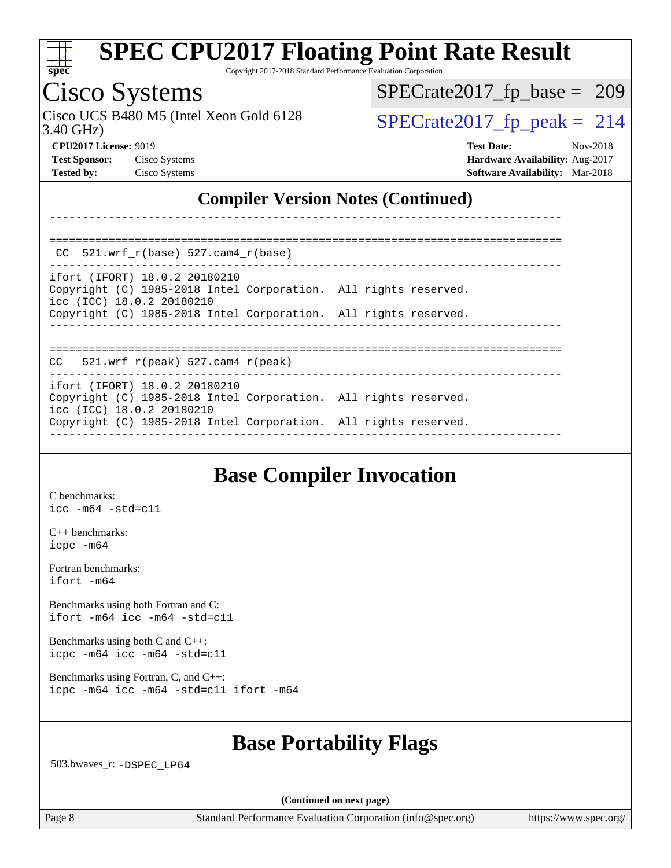

Copyright 2017-2018 Standard Performance Evaluation Corporation

### Cisco Systems

Cisco UCS B480 M5 (Intel Xeon Gold 6128  $SPECrate2017$  [p\_peak = 214

[SPECrate2017\\_fp\\_base =](http://www.spec.org/auto/cpu2017/Docs/result-fields.html#SPECrate2017fpbase) 209

3.40 GHz)

**[CPU2017 License:](http://www.spec.org/auto/cpu2017/Docs/result-fields.html#CPU2017License)** 9019 **[Test Date:](http://www.spec.org/auto/cpu2017/Docs/result-fields.html#TestDate)** Nov-2018 **[Test Sponsor:](http://www.spec.org/auto/cpu2017/Docs/result-fields.html#TestSponsor)** Cisco Systems **[Hardware Availability:](http://www.spec.org/auto/cpu2017/Docs/result-fields.html#HardwareAvailability)** Aug-2017 **[Tested by:](http://www.spec.org/auto/cpu2017/Docs/result-fields.html#Testedby)** Cisco Systems **[Software Availability:](http://www.spec.org/auto/cpu2017/Docs/result-fields.html#SoftwareAvailability)** Mar-2018

#### **[Compiler Version Notes \(Continued\)](http://www.spec.org/auto/cpu2017/Docs/result-fields.html#CompilerVersionNotes)**

| CC $521.$ wrf r(base) 527.cam4 r(base)                                                                                        |  |
|-------------------------------------------------------------------------------------------------------------------------------|--|
| ifort (IFORT) 18.0.2 20180210<br>Copyright (C) 1985-2018 Intel Corporation. All rights reserved.<br>icc (ICC) 18.0.2 20180210 |  |
| Copyright (C) 1985-2018 Intel Corporation. All rights reserved.                                                               |  |
| $CC$ 521.wrf $r(\text{peak})$ 527.cam4 $r(\text{peak})$                                                                       |  |
| ifort (IFORT) 18.0.2 20180210<br>Copyright (C) 1985-2018 Intel Corporation. All rights reserved.<br>icc (ICC) 18.0.2 20180210 |  |
| Copyright (C) 1985-2018 Intel Corporation. All rights reserved.                                                               |  |

------------------------------------------------------------------------------

#### **[Base Compiler Invocation](http://www.spec.org/auto/cpu2017/Docs/result-fields.html#BaseCompilerInvocation)**

[C benchmarks](http://www.spec.org/auto/cpu2017/Docs/result-fields.html#Cbenchmarks): [icc -m64 -std=c11](http://www.spec.org/cpu2017/results/res2018q4/cpu2017-20181113-09735.flags.html#user_CCbase_intel_icc_64bit_c11_33ee0cdaae7deeeab2a9725423ba97205ce30f63b9926c2519791662299b76a0318f32ddfffdc46587804de3178b4f9328c46fa7c2b0cd779d7a61945c91cd35)

[C++ benchmarks:](http://www.spec.org/auto/cpu2017/Docs/result-fields.html#CXXbenchmarks) [icpc -m64](http://www.spec.org/cpu2017/results/res2018q4/cpu2017-20181113-09735.flags.html#user_CXXbase_intel_icpc_64bit_4ecb2543ae3f1412ef961e0650ca070fec7b7afdcd6ed48761b84423119d1bf6bdf5cad15b44d48e7256388bc77273b966e5eb805aefd121eb22e9299b2ec9d9)

[Fortran benchmarks](http://www.spec.org/auto/cpu2017/Docs/result-fields.html#Fortranbenchmarks): [ifort -m64](http://www.spec.org/cpu2017/results/res2018q4/cpu2017-20181113-09735.flags.html#user_FCbase_intel_ifort_64bit_24f2bb282fbaeffd6157abe4f878425411749daecae9a33200eee2bee2fe76f3b89351d69a8130dd5949958ce389cf37ff59a95e7a40d588e8d3a57e0c3fd751)

[Benchmarks using both Fortran and C](http://www.spec.org/auto/cpu2017/Docs/result-fields.html#BenchmarksusingbothFortranandC): [ifort -m64](http://www.spec.org/cpu2017/results/res2018q4/cpu2017-20181113-09735.flags.html#user_CC_FCbase_intel_ifort_64bit_24f2bb282fbaeffd6157abe4f878425411749daecae9a33200eee2bee2fe76f3b89351d69a8130dd5949958ce389cf37ff59a95e7a40d588e8d3a57e0c3fd751) [icc -m64 -std=c11](http://www.spec.org/cpu2017/results/res2018q4/cpu2017-20181113-09735.flags.html#user_CC_FCbase_intel_icc_64bit_c11_33ee0cdaae7deeeab2a9725423ba97205ce30f63b9926c2519791662299b76a0318f32ddfffdc46587804de3178b4f9328c46fa7c2b0cd779d7a61945c91cd35)

[Benchmarks using both C and C++](http://www.spec.org/auto/cpu2017/Docs/result-fields.html#BenchmarksusingbothCandCXX): [icpc -m64](http://www.spec.org/cpu2017/results/res2018q4/cpu2017-20181113-09735.flags.html#user_CC_CXXbase_intel_icpc_64bit_4ecb2543ae3f1412ef961e0650ca070fec7b7afdcd6ed48761b84423119d1bf6bdf5cad15b44d48e7256388bc77273b966e5eb805aefd121eb22e9299b2ec9d9) [icc -m64 -std=c11](http://www.spec.org/cpu2017/results/res2018q4/cpu2017-20181113-09735.flags.html#user_CC_CXXbase_intel_icc_64bit_c11_33ee0cdaae7deeeab2a9725423ba97205ce30f63b9926c2519791662299b76a0318f32ddfffdc46587804de3178b4f9328c46fa7c2b0cd779d7a61945c91cd35)

[Benchmarks using Fortran, C, and C++:](http://www.spec.org/auto/cpu2017/Docs/result-fields.html#BenchmarksusingFortranCandCXX) [icpc -m64](http://www.spec.org/cpu2017/results/res2018q4/cpu2017-20181113-09735.flags.html#user_CC_CXX_FCbase_intel_icpc_64bit_4ecb2543ae3f1412ef961e0650ca070fec7b7afdcd6ed48761b84423119d1bf6bdf5cad15b44d48e7256388bc77273b966e5eb805aefd121eb22e9299b2ec9d9) [icc -m64 -std=c11](http://www.spec.org/cpu2017/results/res2018q4/cpu2017-20181113-09735.flags.html#user_CC_CXX_FCbase_intel_icc_64bit_c11_33ee0cdaae7deeeab2a9725423ba97205ce30f63b9926c2519791662299b76a0318f32ddfffdc46587804de3178b4f9328c46fa7c2b0cd779d7a61945c91cd35) [ifort -m64](http://www.spec.org/cpu2017/results/res2018q4/cpu2017-20181113-09735.flags.html#user_CC_CXX_FCbase_intel_ifort_64bit_24f2bb282fbaeffd6157abe4f878425411749daecae9a33200eee2bee2fe76f3b89351d69a8130dd5949958ce389cf37ff59a95e7a40d588e8d3a57e0c3fd751)

### **[Base Portability Flags](http://www.spec.org/auto/cpu2017/Docs/result-fields.html#BasePortabilityFlags)**

503.bwaves\_r: [-DSPEC\\_LP64](http://www.spec.org/cpu2017/results/res2018q4/cpu2017-20181113-09735.flags.html#suite_basePORTABILITY503_bwaves_r_DSPEC_LP64)

**(Continued on next page)**

Page 8 Standard Performance Evaluation Corporation [\(info@spec.org\)](mailto:info@spec.org) <https://www.spec.org/>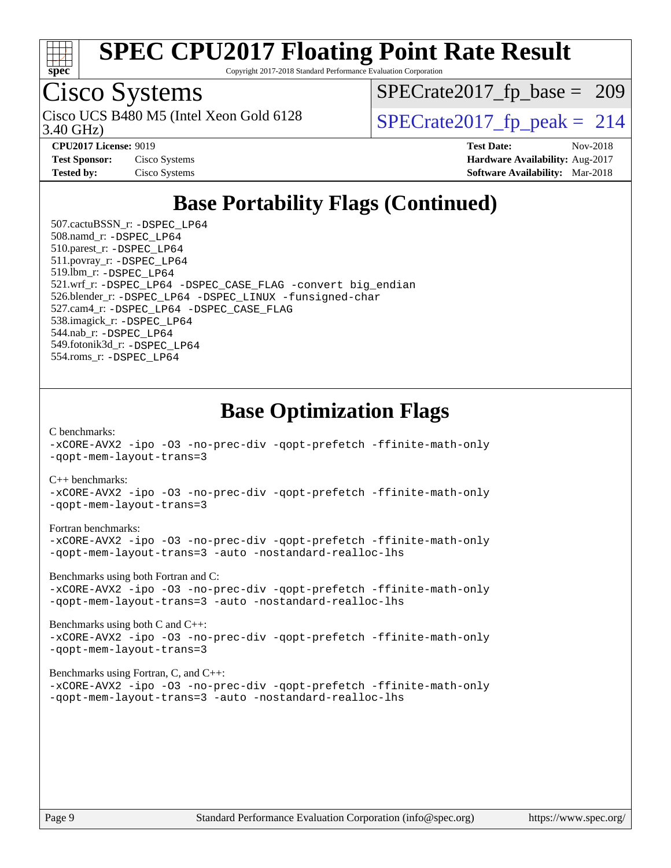

Copyright 2017-2018 Standard Performance Evaluation Corporation

# Cisco Systems

3.40 GHz) Cisco UCS B480 M5 (Intel Xeon Gold 6128  $\vert$ [SPECrate2017\\_fp\\_peak =](http://www.spec.org/auto/cpu2017/Docs/result-fields.html#SPECrate2017fppeak) 214

[SPECrate2017\\_fp\\_base =](http://www.spec.org/auto/cpu2017/Docs/result-fields.html#SPECrate2017fpbase) 209

| <b>Test Sponsor:</b> | Cisco Systems |
|----------------------|---------------|
| <b>Tested by:</b>    | Cisco Systems |

**[CPU2017 License:](http://www.spec.org/auto/cpu2017/Docs/result-fields.html#CPU2017License)** 9019 **[Test Date:](http://www.spec.org/auto/cpu2017/Docs/result-fields.html#TestDate)** Nov-2018 **[Hardware Availability:](http://www.spec.org/auto/cpu2017/Docs/result-fields.html#HardwareAvailability)** Aug-2017 **[Software Availability:](http://www.spec.org/auto/cpu2017/Docs/result-fields.html#SoftwareAvailability)** Mar-2018

### **[Base Portability Flags \(Continued\)](http://www.spec.org/auto/cpu2017/Docs/result-fields.html#BasePortabilityFlags)**

 507.cactuBSSN\_r: [-DSPEC\\_LP64](http://www.spec.org/cpu2017/results/res2018q4/cpu2017-20181113-09735.flags.html#suite_basePORTABILITY507_cactuBSSN_r_DSPEC_LP64) 508.namd\_r: [-DSPEC\\_LP64](http://www.spec.org/cpu2017/results/res2018q4/cpu2017-20181113-09735.flags.html#suite_basePORTABILITY508_namd_r_DSPEC_LP64) 510.parest\_r: [-DSPEC\\_LP64](http://www.spec.org/cpu2017/results/res2018q4/cpu2017-20181113-09735.flags.html#suite_basePORTABILITY510_parest_r_DSPEC_LP64) 511.povray\_r: [-DSPEC\\_LP64](http://www.spec.org/cpu2017/results/res2018q4/cpu2017-20181113-09735.flags.html#suite_basePORTABILITY511_povray_r_DSPEC_LP64) 519.lbm\_r: [-DSPEC\\_LP64](http://www.spec.org/cpu2017/results/res2018q4/cpu2017-20181113-09735.flags.html#suite_basePORTABILITY519_lbm_r_DSPEC_LP64) 521.wrf\_r: [-DSPEC\\_LP64](http://www.spec.org/cpu2017/results/res2018q4/cpu2017-20181113-09735.flags.html#suite_basePORTABILITY521_wrf_r_DSPEC_LP64) [-DSPEC\\_CASE\\_FLAG](http://www.spec.org/cpu2017/results/res2018q4/cpu2017-20181113-09735.flags.html#b521.wrf_r_baseCPORTABILITY_DSPEC_CASE_FLAG) [-convert big\\_endian](http://www.spec.org/cpu2017/results/res2018q4/cpu2017-20181113-09735.flags.html#user_baseFPORTABILITY521_wrf_r_convert_big_endian_c3194028bc08c63ac5d04de18c48ce6d347e4e562e8892b8bdbdc0214820426deb8554edfa529a3fb25a586e65a3d812c835984020483e7e73212c4d31a38223) 526.blender\_r: [-DSPEC\\_LP64](http://www.spec.org/cpu2017/results/res2018q4/cpu2017-20181113-09735.flags.html#suite_basePORTABILITY526_blender_r_DSPEC_LP64) [-DSPEC\\_LINUX](http://www.spec.org/cpu2017/results/res2018q4/cpu2017-20181113-09735.flags.html#b526.blender_r_baseCPORTABILITY_DSPEC_LINUX) [-funsigned-char](http://www.spec.org/cpu2017/results/res2018q4/cpu2017-20181113-09735.flags.html#user_baseCPORTABILITY526_blender_r_force_uchar_40c60f00ab013830e2dd6774aeded3ff59883ba5a1fc5fc14077f794d777847726e2a5858cbc7672e36e1b067e7e5c1d9a74f7176df07886a243d7cc18edfe67) 527.cam4\_r: [-DSPEC\\_LP64](http://www.spec.org/cpu2017/results/res2018q4/cpu2017-20181113-09735.flags.html#suite_basePORTABILITY527_cam4_r_DSPEC_LP64) [-DSPEC\\_CASE\\_FLAG](http://www.spec.org/cpu2017/results/res2018q4/cpu2017-20181113-09735.flags.html#b527.cam4_r_baseCPORTABILITY_DSPEC_CASE_FLAG) 538.imagick\_r: [-DSPEC\\_LP64](http://www.spec.org/cpu2017/results/res2018q4/cpu2017-20181113-09735.flags.html#suite_basePORTABILITY538_imagick_r_DSPEC_LP64) 544.nab\_r: [-DSPEC\\_LP64](http://www.spec.org/cpu2017/results/res2018q4/cpu2017-20181113-09735.flags.html#suite_basePORTABILITY544_nab_r_DSPEC_LP64) 549.fotonik3d\_r: [-DSPEC\\_LP64](http://www.spec.org/cpu2017/results/res2018q4/cpu2017-20181113-09735.flags.html#suite_basePORTABILITY549_fotonik3d_r_DSPEC_LP64) 554.roms\_r: [-DSPEC\\_LP64](http://www.spec.org/cpu2017/results/res2018q4/cpu2017-20181113-09735.flags.html#suite_basePORTABILITY554_roms_r_DSPEC_LP64)

### **[Base Optimization Flags](http://www.spec.org/auto/cpu2017/Docs/result-fields.html#BaseOptimizationFlags)**

#### [C benchmarks](http://www.spec.org/auto/cpu2017/Docs/result-fields.html#Cbenchmarks):

[-xCORE-AVX2](http://www.spec.org/cpu2017/results/res2018q4/cpu2017-20181113-09735.flags.html#user_CCbase_f-xCORE-AVX2) [-ipo](http://www.spec.org/cpu2017/results/res2018q4/cpu2017-20181113-09735.flags.html#user_CCbase_f-ipo) [-O3](http://www.spec.org/cpu2017/results/res2018q4/cpu2017-20181113-09735.flags.html#user_CCbase_f-O3) [-no-prec-div](http://www.spec.org/cpu2017/results/res2018q4/cpu2017-20181113-09735.flags.html#user_CCbase_f-no-prec-div) [-qopt-prefetch](http://www.spec.org/cpu2017/results/res2018q4/cpu2017-20181113-09735.flags.html#user_CCbase_f-qopt-prefetch) [-ffinite-math-only](http://www.spec.org/cpu2017/results/res2018q4/cpu2017-20181113-09735.flags.html#user_CCbase_f_finite_math_only_cb91587bd2077682c4b38af759c288ed7c732db004271a9512da14a4f8007909a5f1427ecbf1a0fb78ff2a814402c6114ac565ca162485bbcae155b5e4258871) [-qopt-mem-layout-trans=3](http://www.spec.org/cpu2017/results/res2018q4/cpu2017-20181113-09735.flags.html#user_CCbase_f-qopt-mem-layout-trans_de80db37974c74b1f0e20d883f0b675c88c3b01e9d123adea9b28688d64333345fb62bc4a798493513fdb68f60282f9a726aa07f478b2f7113531aecce732043) [C++ benchmarks:](http://www.spec.org/auto/cpu2017/Docs/result-fields.html#CXXbenchmarks) [-xCORE-AVX2](http://www.spec.org/cpu2017/results/res2018q4/cpu2017-20181113-09735.flags.html#user_CXXbase_f-xCORE-AVX2) [-ipo](http://www.spec.org/cpu2017/results/res2018q4/cpu2017-20181113-09735.flags.html#user_CXXbase_f-ipo) [-O3](http://www.spec.org/cpu2017/results/res2018q4/cpu2017-20181113-09735.flags.html#user_CXXbase_f-O3) [-no-prec-div](http://www.spec.org/cpu2017/results/res2018q4/cpu2017-20181113-09735.flags.html#user_CXXbase_f-no-prec-div) [-qopt-prefetch](http://www.spec.org/cpu2017/results/res2018q4/cpu2017-20181113-09735.flags.html#user_CXXbase_f-qopt-prefetch) [-ffinite-math-only](http://www.spec.org/cpu2017/results/res2018q4/cpu2017-20181113-09735.flags.html#user_CXXbase_f_finite_math_only_cb91587bd2077682c4b38af759c288ed7c732db004271a9512da14a4f8007909a5f1427ecbf1a0fb78ff2a814402c6114ac565ca162485bbcae155b5e4258871) [-qopt-mem-layout-trans=3](http://www.spec.org/cpu2017/results/res2018q4/cpu2017-20181113-09735.flags.html#user_CXXbase_f-qopt-mem-layout-trans_de80db37974c74b1f0e20d883f0b675c88c3b01e9d123adea9b28688d64333345fb62bc4a798493513fdb68f60282f9a726aa07f478b2f7113531aecce732043) [Fortran benchmarks](http://www.spec.org/auto/cpu2017/Docs/result-fields.html#Fortranbenchmarks): [-xCORE-AVX2](http://www.spec.org/cpu2017/results/res2018q4/cpu2017-20181113-09735.flags.html#user_FCbase_f-xCORE-AVX2) [-ipo](http://www.spec.org/cpu2017/results/res2018q4/cpu2017-20181113-09735.flags.html#user_FCbase_f-ipo) [-O3](http://www.spec.org/cpu2017/results/res2018q4/cpu2017-20181113-09735.flags.html#user_FCbase_f-O3) [-no-prec-div](http://www.spec.org/cpu2017/results/res2018q4/cpu2017-20181113-09735.flags.html#user_FCbase_f-no-prec-div) [-qopt-prefetch](http://www.spec.org/cpu2017/results/res2018q4/cpu2017-20181113-09735.flags.html#user_FCbase_f-qopt-prefetch) [-ffinite-math-only](http://www.spec.org/cpu2017/results/res2018q4/cpu2017-20181113-09735.flags.html#user_FCbase_f_finite_math_only_cb91587bd2077682c4b38af759c288ed7c732db004271a9512da14a4f8007909a5f1427ecbf1a0fb78ff2a814402c6114ac565ca162485bbcae155b5e4258871) [-qopt-mem-layout-trans=3](http://www.spec.org/cpu2017/results/res2018q4/cpu2017-20181113-09735.flags.html#user_FCbase_f-qopt-mem-layout-trans_de80db37974c74b1f0e20d883f0b675c88c3b01e9d123adea9b28688d64333345fb62bc4a798493513fdb68f60282f9a726aa07f478b2f7113531aecce732043) [-auto](http://www.spec.org/cpu2017/results/res2018q4/cpu2017-20181113-09735.flags.html#user_FCbase_f-auto) [-nostandard-realloc-lhs](http://www.spec.org/cpu2017/results/res2018q4/cpu2017-20181113-09735.flags.html#user_FCbase_f_2003_std_realloc_82b4557e90729c0f113870c07e44d33d6f5a304b4f63d4c15d2d0f1fab99f5daaed73bdb9275d9ae411527f28b936061aa8b9c8f2d63842963b95c9dd6426b8a)

[Benchmarks using both Fortran and C](http://www.spec.org/auto/cpu2017/Docs/result-fields.html#BenchmarksusingbothFortranandC):

[-xCORE-AVX2](http://www.spec.org/cpu2017/results/res2018q4/cpu2017-20181113-09735.flags.html#user_CC_FCbase_f-xCORE-AVX2) [-ipo](http://www.spec.org/cpu2017/results/res2018q4/cpu2017-20181113-09735.flags.html#user_CC_FCbase_f-ipo) [-O3](http://www.spec.org/cpu2017/results/res2018q4/cpu2017-20181113-09735.flags.html#user_CC_FCbase_f-O3) [-no-prec-div](http://www.spec.org/cpu2017/results/res2018q4/cpu2017-20181113-09735.flags.html#user_CC_FCbase_f-no-prec-div) [-qopt-prefetch](http://www.spec.org/cpu2017/results/res2018q4/cpu2017-20181113-09735.flags.html#user_CC_FCbase_f-qopt-prefetch) [-ffinite-math-only](http://www.spec.org/cpu2017/results/res2018q4/cpu2017-20181113-09735.flags.html#user_CC_FCbase_f_finite_math_only_cb91587bd2077682c4b38af759c288ed7c732db004271a9512da14a4f8007909a5f1427ecbf1a0fb78ff2a814402c6114ac565ca162485bbcae155b5e4258871) [-qopt-mem-layout-trans=3](http://www.spec.org/cpu2017/results/res2018q4/cpu2017-20181113-09735.flags.html#user_CC_FCbase_f-qopt-mem-layout-trans_de80db37974c74b1f0e20d883f0b675c88c3b01e9d123adea9b28688d64333345fb62bc4a798493513fdb68f60282f9a726aa07f478b2f7113531aecce732043) [-auto](http://www.spec.org/cpu2017/results/res2018q4/cpu2017-20181113-09735.flags.html#user_CC_FCbase_f-auto) [-nostandard-realloc-lhs](http://www.spec.org/cpu2017/results/res2018q4/cpu2017-20181113-09735.flags.html#user_CC_FCbase_f_2003_std_realloc_82b4557e90729c0f113870c07e44d33d6f5a304b4f63d4c15d2d0f1fab99f5daaed73bdb9275d9ae411527f28b936061aa8b9c8f2d63842963b95c9dd6426b8a)

[Benchmarks using both C and C++](http://www.spec.org/auto/cpu2017/Docs/result-fields.html#BenchmarksusingbothCandCXX):

[-xCORE-AVX2](http://www.spec.org/cpu2017/results/res2018q4/cpu2017-20181113-09735.flags.html#user_CC_CXXbase_f-xCORE-AVX2) [-ipo](http://www.spec.org/cpu2017/results/res2018q4/cpu2017-20181113-09735.flags.html#user_CC_CXXbase_f-ipo) [-O3](http://www.spec.org/cpu2017/results/res2018q4/cpu2017-20181113-09735.flags.html#user_CC_CXXbase_f-O3) [-no-prec-div](http://www.spec.org/cpu2017/results/res2018q4/cpu2017-20181113-09735.flags.html#user_CC_CXXbase_f-no-prec-div) [-qopt-prefetch](http://www.spec.org/cpu2017/results/res2018q4/cpu2017-20181113-09735.flags.html#user_CC_CXXbase_f-qopt-prefetch) [-ffinite-math-only](http://www.spec.org/cpu2017/results/res2018q4/cpu2017-20181113-09735.flags.html#user_CC_CXXbase_f_finite_math_only_cb91587bd2077682c4b38af759c288ed7c732db004271a9512da14a4f8007909a5f1427ecbf1a0fb78ff2a814402c6114ac565ca162485bbcae155b5e4258871) [-qopt-mem-layout-trans=3](http://www.spec.org/cpu2017/results/res2018q4/cpu2017-20181113-09735.flags.html#user_CC_CXXbase_f-qopt-mem-layout-trans_de80db37974c74b1f0e20d883f0b675c88c3b01e9d123adea9b28688d64333345fb62bc4a798493513fdb68f60282f9a726aa07f478b2f7113531aecce732043)

[Benchmarks using Fortran, C, and C++:](http://www.spec.org/auto/cpu2017/Docs/result-fields.html#BenchmarksusingFortranCandCXX)

[-xCORE-AVX2](http://www.spec.org/cpu2017/results/res2018q4/cpu2017-20181113-09735.flags.html#user_CC_CXX_FCbase_f-xCORE-AVX2) [-ipo](http://www.spec.org/cpu2017/results/res2018q4/cpu2017-20181113-09735.flags.html#user_CC_CXX_FCbase_f-ipo) [-O3](http://www.spec.org/cpu2017/results/res2018q4/cpu2017-20181113-09735.flags.html#user_CC_CXX_FCbase_f-O3) [-no-prec-div](http://www.spec.org/cpu2017/results/res2018q4/cpu2017-20181113-09735.flags.html#user_CC_CXX_FCbase_f-no-prec-div) [-qopt-prefetch](http://www.spec.org/cpu2017/results/res2018q4/cpu2017-20181113-09735.flags.html#user_CC_CXX_FCbase_f-qopt-prefetch) [-ffinite-math-only](http://www.spec.org/cpu2017/results/res2018q4/cpu2017-20181113-09735.flags.html#user_CC_CXX_FCbase_f_finite_math_only_cb91587bd2077682c4b38af759c288ed7c732db004271a9512da14a4f8007909a5f1427ecbf1a0fb78ff2a814402c6114ac565ca162485bbcae155b5e4258871) [-qopt-mem-layout-trans=3](http://www.spec.org/cpu2017/results/res2018q4/cpu2017-20181113-09735.flags.html#user_CC_CXX_FCbase_f-qopt-mem-layout-trans_de80db37974c74b1f0e20d883f0b675c88c3b01e9d123adea9b28688d64333345fb62bc4a798493513fdb68f60282f9a726aa07f478b2f7113531aecce732043) [-auto](http://www.spec.org/cpu2017/results/res2018q4/cpu2017-20181113-09735.flags.html#user_CC_CXX_FCbase_f-auto) [-nostandard-realloc-lhs](http://www.spec.org/cpu2017/results/res2018q4/cpu2017-20181113-09735.flags.html#user_CC_CXX_FCbase_f_2003_std_realloc_82b4557e90729c0f113870c07e44d33d6f5a304b4f63d4c15d2d0f1fab99f5daaed73bdb9275d9ae411527f28b936061aa8b9c8f2d63842963b95c9dd6426b8a)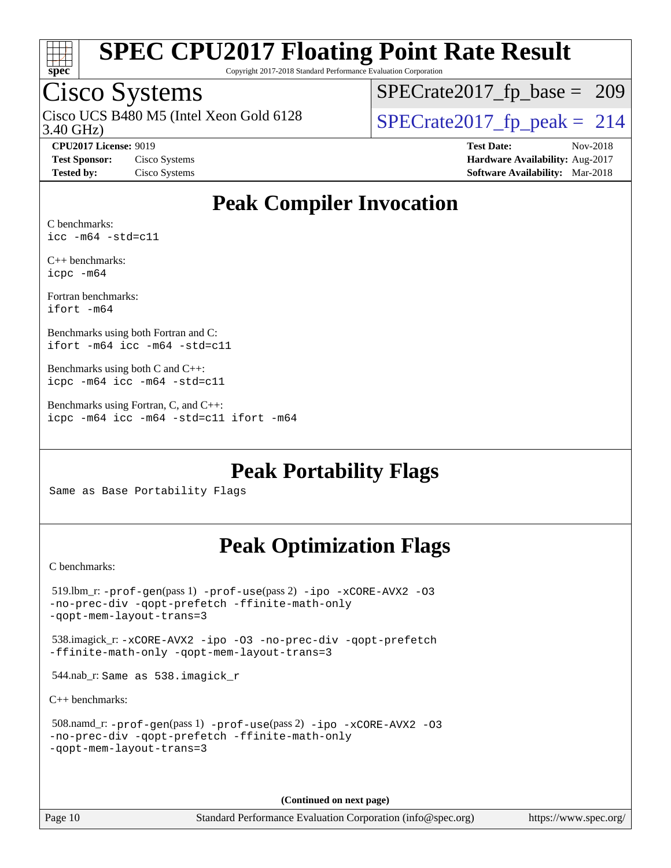

Copyright 2017-2018 Standard Performance Evaluation Corporation

### Cisco Systems

3.40 GHz) Cisco UCS B480 M5 (Intel Xeon Gold 6128  $\vert$  [SPECrate2017\\_fp\\_peak =](http://www.spec.org/auto/cpu2017/Docs/result-fields.html#SPECrate2017fppeak) 214

[SPECrate2017\\_fp\\_base =](http://www.spec.org/auto/cpu2017/Docs/result-fields.html#SPECrate2017fpbase) 209

**[CPU2017 License:](http://www.spec.org/auto/cpu2017/Docs/result-fields.html#CPU2017License)** 9019 **[Test Date:](http://www.spec.org/auto/cpu2017/Docs/result-fields.html#TestDate)** Nov-2018 **[Test Sponsor:](http://www.spec.org/auto/cpu2017/Docs/result-fields.html#TestSponsor)** Cisco Systems **[Hardware Availability:](http://www.spec.org/auto/cpu2017/Docs/result-fields.html#HardwareAvailability)** Aug-2017 **[Tested by:](http://www.spec.org/auto/cpu2017/Docs/result-fields.html#Testedby)** Cisco Systems **[Software Availability:](http://www.spec.org/auto/cpu2017/Docs/result-fields.html#SoftwareAvailability)** Mar-2018

### **[Peak Compiler Invocation](http://www.spec.org/auto/cpu2017/Docs/result-fields.html#PeakCompilerInvocation)**

[C benchmarks:](http://www.spec.org/auto/cpu2017/Docs/result-fields.html#Cbenchmarks) [icc -m64 -std=c11](http://www.spec.org/cpu2017/results/res2018q4/cpu2017-20181113-09735.flags.html#user_CCpeak_intel_icc_64bit_c11_33ee0cdaae7deeeab2a9725423ba97205ce30f63b9926c2519791662299b76a0318f32ddfffdc46587804de3178b4f9328c46fa7c2b0cd779d7a61945c91cd35)

[C++ benchmarks](http://www.spec.org/auto/cpu2017/Docs/result-fields.html#CXXbenchmarks): [icpc -m64](http://www.spec.org/cpu2017/results/res2018q4/cpu2017-20181113-09735.flags.html#user_CXXpeak_intel_icpc_64bit_4ecb2543ae3f1412ef961e0650ca070fec7b7afdcd6ed48761b84423119d1bf6bdf5cad15b44d48e7256388bc77273b966e5eb805aefd121eb22e9299b2ec9d9)

[Fortran benchmarks:](http://www.spec.org/auto/cpu2017/Docs/result-fields.html#Fortranbenchmarks) [ifort -m64](http://www.spec.org/cpu2017/results/res2018q4/cpu2017-20181113-09735.flags.html#user_FCpeak_intel_ifort_64bit_24f2bb282fbaeffd6157abe4f878425411749daecae9a33200eee2bee2fe76f3b89351d69a8130dd5949958ce389cf37ff59a95e7a40d588e8d3a57e0c3fd751)

[Benchmarks using both Fortran and C:](http://www.spec.org/auto/cpu2017/Docs/result-fields.html#BenchmarksusingbothFortranandC) [ifort -m64](http://www.spec.org/cpu2017/results/res2018q4/cpu2017-20181113-09735.flags.html#user_CC_FCpeak_intel_ifort_64bit_24f2bb282fbaeffd6157abe4f878425411749daecae9a33200eee2bee2fe76f3b89351d69a8130dd5949958ce389cf37ff59a95e7a40d588e8d3a57e0c3fd751) [icc -m64 -std=c11](http://www.spec.org/cpu2017/results/res2018q4/cpu2017-20181113-09735.flags.html#user_CC_FCpeak_intel_icc_64bit_c11_33ee0cdaae7deeeab2a9725423ba97205ce30f63b9926c2519791662299b76a0318f32ddfffdc46587804de3178b4f9328c46fa7c2b0cd779d7a61945c91cd35)

[Benchmarks using both C and C++](http://www.spec.org/auto/cpu2017/Docs/result-fields.html#BenchmarksusingbothCandCXX): [icpc -m64](http://www.spec.org/cpu2017/results/res2018q4/cpu2017-20181113-09735.flags.html#user_CC_CXXpeak_intel_icpc_64bit_4ecb2543ae3f1412ef961e0650ca070fec7b7afdcd6ed48761b84423119d1bf6bdf5cad15b44d48e7256388bc77273b966e5eb805aefd121eb22e9299b2ec9d9) [icc -m64 -std=c11](http://www.spec.org/cpu2017/results/res2018q4/cpu2017-20181113-09735.flags.html#user_CC_CXXpeak_intel_icc_64bit_c11_33ee0cdaae7deeeab2a9725423ba97205ce30f63b9926c2519791662299b76a0318f32ddfffdc46587804de3178b4f9328c46fa7c2b0cd779d7a61945c91cd35)

[Benchmarks using Fortran, C, and C++:](http://www.spec.org/auto/cpu2017/Docs/result-fields.html#BenchmarksusingFortranCandCXX) [icpc -m64](http://www.spec.org/cpu2017/results/res2018q4/cpu2017-20181113-09735.flags.html#user_CC_CXX_FCpeak_intel_icpc_64bit_4ecb2543ae3f1412ef961e0650ca070fec7b7afdcd6ed48761b84423119d1bf6bdf5cad15b44d48e7256388bc77273b966e5eb805aefd121eb22e9299b2ec9d9) [icc -m64 -std=c11](http://www.spec.org/cpu2017/results/res2018q4/cpu2017-20181113-09735.flags.html#user_CC_CXX_FCpeak_intel_icc_64bit_c11_33ee0cdaae7deeeab2a9725423ba97205ce30f63b9926c2519791662299b76a0318f32ddfffdc46587804de3178b4f9328c46fa7c2b0cd779d7a61945c91cd35) [ifort -m64](http://www.spec.org/cpu2017/results/res2018q4/cpu2017-20181113-09735.flags.html#user_CC_CXX_FCpeak_intel_ifort_64bit_24f2bb282fbaeffd6157abe4f878425411749daecae9a33200eee2bee2fe76f3b89351d69a8130dd5949958ce389cf37ff59a95e7a40d588e8d3a57e0c3fd751)

**[Peak Portability Flags](http://www.spec.org/auto/cpu2017/Docs/result-fields.html#PeakPortabilityFlags)**

Same as Base Portability Flags

### **[Peak Optimization Flags](http://www.spec.org/auto/cpu2017/Docs/result-fields.html#PeakOptimizationFlags)**

[C benchmarks](http://www.spec.org/auto/cpu2017/Docs/result-fields.html#Cbenchmarks):

```
 519.lbm_r: -prof-gen(pass 1) -prof-use(pass 2) -ipo -xCORE-AVX2 -O3
-no-prec-div -qopt-prefetch -ffinite-math-only
-qopt-mem-layout-trans=3
 538.imagick_r: -xCORE-AVX2 -ipo -O3 -no-prec-div -qopt-prefetch
-ffinite-math-only -qopt-mem-layout-trans=3
 544.nab_r: Same as 538.imagick_r
C++ benchmarks: 
 508.namd_r: -prof-gen(pass 1) -prof-use(pass 2) -ipo -xCORE-AVX2 -O3
-no-prec-div -qopt-prefetch -ffinite-math-only
-qopt-mem-layout-trans=3
```
**(Continued on next page)**

Page 10 Standard Performance Evaluation Corporation [\(info@spec.org\)](mailto:info@spec.org) <https://www.spec.org/>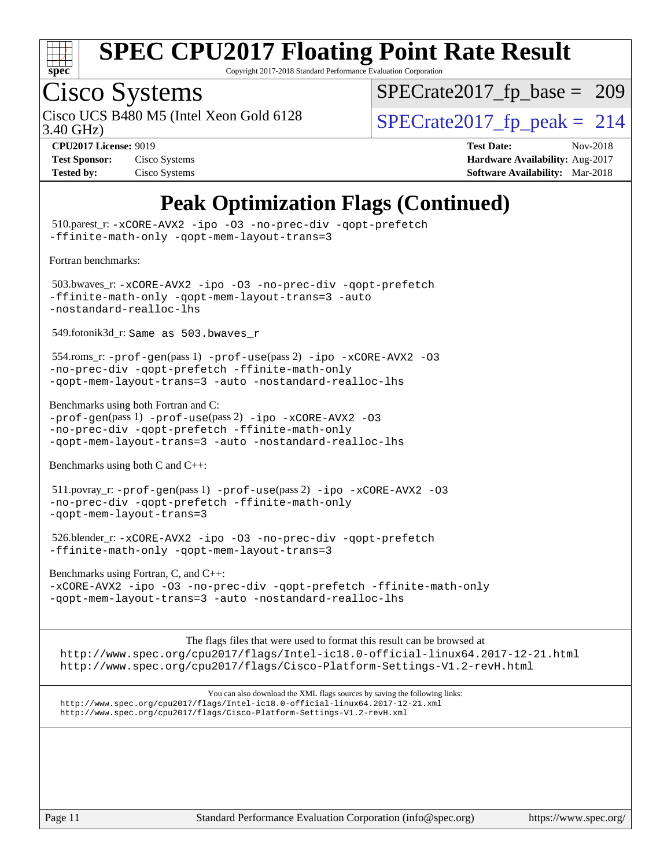

Copyright 2017-2018 Standard Performance Evaluation Corporation

### Cisco Systems

Cisco UCS B480 M5 (Intel Xeon Gold 6128  $\vert$ [SPECrate2017\\_fp\\_peak =](http://www.spec.org/auto/cpu2017/Docs/result-fields.html#SPECrate2017fppeak) 214

[SPECrate2017\\_fp\\_base =](http://www.spec.org/auto/cpu2017/Docs/result-fields.html#SPECrate2017fpbase) 209

3.40 GHz)

| <b>Test Sponsor:</b> | Cisco Systems |
|----------------------|---------------|
| <b>Tested by:</b>    | Cisco Systems |

**[CPU2017 License:](http://www.spec.org/auto/cpu2017/Docs/result-fields.html#CPU2017License)** 9019 **[Test Date:](http://www.spec.org/auto/cpu2017/Docs/result-fields.html#TestDate)** Nov-2018 **[Hardware Availability:](http://www.spec.org/auto/cpu2017/Docs/result-fields.html#HardwareAvailability)** Aug-2017 **[Software Availability:](http://www.spec.org/auto/cpu2017/Docs/result-fields.html#SoftwareAvailability)** Mar-2018

### **[Peak Optimization Flags \(Continued\)](http://www.spec.org/auto/cpu2017/Docs/result-fields.html#PeakOptimizationFlags)**

 510.parest\_r: [-xCORE-AVX2](http://www.spec.org/cpu2017/results/res2018q4/cpu2017-20181113-09735.flags.html#user_peakCXXOPTIMIZE510_parest_r_f-xCORE-AVX2) [-ipo](http://www.spec.org/cpu2017/results/res2018q4/cpu2017-20181113-09735.flags.html#user_peakCXXOPTIMIZE510_parest_r_f-ipo) [-O3](http://www.spec.org/cpu2017/results/res2018q4/cpu2017-20181113-09735.flags.html#user_peakCXXOPTIMIZE510_parest_r_f-O3) [-no-prec-div](http://www.spec.org/cpu2017/results/res2018q4/cpu2017-20181113-09735.flags.html#user_peakCXXOPTIMIZE510_parest_r_f-no-prec-div) [-qopt-prefetch](http://www.spec.org/cpu2017/results/res2018q4/cpu2017-20181113-09735.flags.html#user_peakCXXOPTIMIZE510_parest_r_f-qopt-prefetch) [-ffinite-math-only](http://www.spec.org/cpu2017/results/res2018q4/cpu2017-20181113-09735.flags.html#user_peakCXXOPTIMIZE510_parest_r_f_finite_math_only_cb91587bd2077682c4b38af759c288ed7c732db004271a9512da14a4f8007909a5f1427ecbf1a0fb78ff2a814402c6114ac565ca162485bbcae155b5e4258871) [-qopt-mem-layout-trans=3](http://www.spec.org/cpu2017/results/res2018q4/cpu2017-20181113-09735.flags.html#user_peakCXXOPTIMIZE510_parest_r_f-qopt-mem-layout-trans_de80db37974c74b1f0e20d883f0b675c88c3b01e9d123adea9b28688d64333345fb62bc4a798493513fdb68f60282f9a726aa07f478b2f7113531aecce732043) [Fortran benchmarks](http://www.spec.org/auto/cpu2017/Docs/result-fields.html#Fortranbenchmarks): 503.bwaves\_r: [-xCORE-AVX2](http://www.spec.org/cpu2017/results/res2018q4/cpu2017-20181113-09735.flags.html#user_peakFOPTIMIZE503_bwaves_r_f-xCORE-AVX2) [-ipo](http://www.spec.org/cpu2017/results/res2018q4/cpu2017-20181113-09735.flags.html#user_peakFOPTIMIZE503_bwaves_r_f-ipo) [-O3](http://www.spec.org/cpu2017/results/res2018q4/cpu2017-20181113-09735.flags.html#user_peakFOPTIMIZE503_bwaves_r_f-O3) [-no-prec-div](http://www.spec.org/cpu2017/results/res2018q4/cpu2017-20181113-09735.flags.html#user_peakFOPTIMIZE503_bwaves_r_f-no-prec-div) [-qopt-prefetch](http://www.spec.org/cpu2017/results/res2018q4/cpu2017-20181113-09735.flags.html#user_peakFOPTIMIZE503_bwaves_r_f-qopt-prefetch) [-ffinite-math-only](http://www.spec.org/cpu2017/results/res2018q4/cpu2017-20181113-09735.flags.html#user_peakFOPTIMIZE503_bwaves_r_f_finite_math_only_cb91587bd2077682c4b38af759c288ed7c732db004271a9512da14a4f8007909a5f1427ecbf1a0fb78ff2a814402c6114ac565ca162485bbcae155b5e4258871) [-qopt-mem-layout-trans=3](http://www.spec.org/cpu2017/results/res2018q4/cpu2017-20181113-09735.flags.html#user_peakFOPTIMIZE503_bwaves_r_f-qopt-mem-layout-trans_de80db37974c74b1f0e20d883f0b675c88c3b01e9d123adea9b28688d64333345fb62bc4a798493513fdb68f60282f9a726aa07f478b2f7113531aecce732043) [-auto](http://www.spec.org/cpu2017/results/res2018q4/cpu2017-20181113-09735.flags.html#user_peakFOPTIMIZE503_bwaves_r_f-auto) [-nostandard-realloc-lhs](http://www.spec.org/cpu2017/results/res2018q4/cpu2017-20181113-09735.flags.html#user_peakEXTRA_FOPTIMIZE503_bwaves_r_f_2003_std_realloc_82b4557e90729c0f113870c07e44d33d6f5a304b4f63d4c15d2d0f1fab99f5daaed73bdb9275d9ae411527f28b936061aa8b9c8f2d63842963b95c9dd6426b8a) 549.fotonik3d\_r: Same as 503.bwaves\_r 554.roms\_r: [-prof-gen](http://www.spec.org/cpu2017/results/res2018q4/cpu2017-20181113-09735.flags.html#user_peakPASS1_FFLAGSPASS1_LDFLAGS554_roms_r_prof_gen_5aa4926d6013ddb2a31985c654b3eb18169fc0c6952a63635c234f711e6e63dd76e94ad52365559451ec499a2cdb89e4dc58ba4c67ef54ca681ffbe1461d6b36)(pass 1) [-prof-use](http://www.spec.org/cpu2017/results/res2018q4/cpu2017-20181113-09735.flags.html#user_peakPASS2_FFLAGSPASS2_LDFLAGS554_roms_r_prof_use_1a21ceae95f36a2b53c25747139a6c16ca95bd9def2a207b4f0849963b97e94f5260e30a0c64f4bb623698870e679ca08317ef8150905d41bd88c6f78df73f19)(pass 2) [-ipo](http://www.spec.org/cpu2017/results/res2018q4/cpu2017-20181113-09735.flags.html#user_peakPASS1_FOPTIMIZEPASS2_FOPTIMIZE554_roms_r_f-ipo) [-xCORE-AVX2](http://www.spec.org/cpu2017/results/res2018q4/cpu2017-20181113-09735.flags.html#user_peakPASS2_FOPTIMIZE554_roms_r_f-xCORE-AVX2) [-O3](http://www.spec.org/cpu2017/results/res2018q4/cpu2017-20181113-09735.flags.html#user_peakPASS1_FOPTIMIZEPASS2_FOPTIMIZE554_roms_r_f-O3) [-no-prec-div](http://www.spec.org/cpu2017/results/res2018q4/cpu2017-20181113-09735.flags.html#user_peakPASS1_FOPTIMIZEPASS2_FOPTIMIZE554_roms_r_f-no-prec-div) [-qopt-prefetch](http://www.spec.org/cpu2017/results/res2018q4/cpu2017-20181113-09735.flags.html#user_peakPASS1_FOPTIMIZEPASS2_FOPTIMIZE554_roms_r_f-qopt-prefetch) [-ffinite-math-only](http://www.spec.org/cpu2017/results/res2018q4/cpu2017-20181113-09735.flags.html#user_peakPASS1_FOPTIMIZEPASS2_FOPTIMIZE554_roms_r_f_finite_math_only_cb91587bd2077682c4b38af759c288ed7c732db004271a9512da14a4f8007909a5f1427ecbf1a0fb78ff2a814402c6114ac565ca162485bbcae155b5e4258871) [-qopt-mem-layout-trans=3](http://www.spec.org/cpu2017/results/res2018q4/cpu2017-20181113-09735.flags.html#user_peakPASS1_FOPTIMIZEPASS2_FOPTIMIZE554_roms_r_f-qopt-mem-layout-trans_de80db37974c74b1f0e20d883f0b675c88c3b01e9d123adea9b28688d64333345fb62bc4a798493513fdb68f60282f9a726aa07f478b2f7113531aecce732043) [-auto](http://www.spec.org/cpu2017/results/res2018q4/cpu2017-20181113-09735.flags.html#user_peakPASS2_FOPTIMIZE554_roms_r_f-auto) [-nostandard-realloc-lhs](http://www.spec.org/cpu2017/results/res2018q4/cpu2017-20181113-09735.flags.html#user_peakEXTRA_FOPTIMIZE554_roms_r_f_2003_std_realloc_82b4557e90729c0f113870c07e44d33d6f5a304b4f63d4c15d2d0f1fab99f5daaed73bdb9275d9ae411527f28b936061aa8b9c8f2d63842963b95c9dd6426b8a) [Benchmarks using both Fortran and C](http://www.spec.org/auto/cpu2017/Docs/result-fields.html#BenchmarksusingbothFortranandC): [-prof-gen](http://www.spec.org/cpu2017/results/res2018q4/cpu2017-20181113-09735.flags.html#user_CC_FCpeak_prof_gen_5aa4926d6013ddb2a31985c654b3eb18169fc0c6952a63635c234f711e6e63dd76e94ad52365559451ec499a2cdb89e4dc58ba4c67ef54ca681ffbe1461d6b36)(pass 1) [-prof-use](http://www.spec.org/cpu2017/results/res2018q4/cpu2017-20181113-09735.flags.html#user_CC_FCpeak_prof_use_1a21ceae95f36a2b53c25747139a6c16ca95bd9def2a207b4f0849963b97e94f5260e30a0c64f4bb623698870e679ca08317ef8150905d41bd88c6f78df73f19)(pass 2) [-ipo](http://www.spec.org/cpu2017/results/res2018q4/cpu2017-20181113-09735.flags.html#user_CC_FCpeak_f-ipo) [-xCORE-AVX2](http://www.spec.org/cpu2017/results/res2018q4/cpu2017-20181113-09735.flags.html#user_CC_FCpeak_f-xCORE-AVX2) [-O3](http://www.spec.org/cpu2017/results/res2018q4/cpu2017-20181113-09735.flags.html#user_CC_FCpeak_f-O3) [-no-prec-div](http://www.spec.org/cpu2017/results/res2018q4/cpu2017-20181113-09735.flags.html#user_CC_FCpeak_f-no-prec-div) [-qopt-prefetch](http://www.spec.org/cpu2017/results/res2018q4/cpu2017-20181113-09735.flags.html#user_CC_FCpeak_f-qopt-prefetch) [-ffinite-math-only](http://www.spec.org/cpu2017/results/res2018q4/cpu2017-20181113-09735.flags.html#user_CC_FCpeak_f_finite_math_only_cb91587bd2077682c4b38af759c288ed7c732db004271a9512da14a4f8007909a5f1427ecbf1a0fb78ff2a814402c6114ac565ca162485bbcae155b5e4258871) [-qopt-mem-layout-trans=3](http://www.spec.org/cpu2017/results/res2018q4/cpu2017-20181113-09735.flags.html#user_CC_FCpeak_f-qopt-mem-layout-trans_de80db37974c74b1f0e20d883f0b675c88c3b01e9d123adea9b28688d64333345fb62bc4a798493513fdb68f60282f9a726aa07f478b2f7113531aecce732043) [-auto](http://www.spec.org/cpu2017/results/res2018q4/cpu2017-20181113-09735.flags.html#user_CC_FCpeak_f-auto) [-nostandard-realloc-lhs](http://www.spec.org/cpu2017/results/res2018q4/cpu2017-20181113-09735.flags.html#user_CC_FCpeak_f_2003_std_realloc_82b4557e90729c0f113870c07e44d33d6f5a304b4f63d4c15d2d0f1fab99f5daaed73bdb9275d9ae411527f28b936061aa8b9c8f2d63842963b95c9dd6426b8a) [Benchmarks using both C and C++](http://www.spec.org/auto/cpu2017/Docs/result-fields.html#BenchmarksusingbothCandCXX): 511.povray\_r: [-prof-gen](http://www.spec.org/cpu2017/results/res2018q4/cpu2017-20181113-09735.flags.html#user_peakPASS1_CFLAGSPASS1_CXXFLAGSPASS1_LDFLAGS511_povray_r_prof_gen_5aa4926d6013ddb2a31985c654b3eb18169fc0c6952a63635c234f711e6e63dd76e94ad52365559451ec499a2cdb89e4dc58ba4c67ef54ca681ffbe1461d6b36)(pass 1) [-prof-use](http://www.spec.org/cpu2017/results/res2018q4/cpu2017-20181113-09735.flags.html#user_peakPASS2_CFLAGSPASS2_CXXFLAGSPASS2_LDFLAGS511_povray_r_prof_use_1a21ceae95f36a2b53c25747139a6c16ca95bd9def2a207b4f0849963b97e94f5260e30a0c64f4bb623698870e679ca08317ef8150905d41bd88c6f78df73f19)(pass 2) [-ipo](http://www.spec.org/cpu2017/results/res2018q4/cpu2017-20181113-09735.flags.html#user_peakPASS1_COPTIMIZEPASS1_CXXOPTIMIZEPASS2_COPTIMIZEPASS2_CXXOPTIMIZE511_povray_r_f-ipo) [-xCORE-AVX2](http://www.spec.org/cpu2017/results/res2018q4/cpu2017-20181113-09735.flags.html#user_peakPASS2_COPTIMIZEPASS2_CXXOPTIMIZE511_povray_r_f-xCORE-AVX2) [-O3](http://www.spec.org/cpu2017/results/res2018q4/cpu2017-20181113-09735.flags.html#user_peakPASS1_COPTIMIZEPASS1_CXXOPTIMIZEPASS2_COPTIMIZEPASS2_CXXOPTIMIZE511_povray_r_f-O3) [-no-prec-div](http://www.spec.org/cpu2017/results/res2018q4/cpu2017-20181113-09735.flags.html#user_peakPASS1_COPTIMIZEPASS1_CXXOPTIMIZEPASS2_COPTIMIZEPASS2_CXXOPTIMIZE511_povray_r_f-no-prec-div) [-qopt-prefetch](http://www.spec.org/cpu2017/results/res2018q4/cpu2017-20181113-09735.flags.html#user_peakPASS1_COPTIMIZEPASS1_CXXOPTIMIZEPASS2_COPTIMIZEPASS2_CXXOPTIMIZE511_povray_r_f-qopt-prefetch) [-ffinite-math-only](http://www.spec.org/cpu2017/results/res2018q4/cpu2017-20181113-09735.flags.html#user_peakPASS1_COPTIMIZEPASS1_CXXOPTIMIZEPASS2_COPTIMIZEPASS2_CXXOPTIMIZE511_povray_r_f_finite_math_only_cb91587bd2077682c4b38af759c288ed7c732db004271a9512da14a4f8007909a5f1427ecbf1a0fb78ff2a814402c6114ac565ca162485bbcae155b5e4258871) [-qopt-mem-layout-trans=3](http://www.spec.org/cpu2017/results/res2018q4/cpu2017-20181113-09735.flags.html#user_peakPASS1_COPTIMIZEPASS1_CXXOPTIMIZEPASS2_COPTIMIZEPASS2_CXXOPTIMIZE511_povray_r_f-qopt-mem-layout-trans_de80db37974c74b1f0e20d883f0b675c88c3b01e9d123adea9b28688d64333345fb62bc4a798493513fdb68f60282f9a726aa07f478b2f7113531aecce732043) 526.blender\_r: [-xCORE-AVX2](http://www.spec.org/cpu2017/results/res2018q4/cpu2017-20181113-09735.flags.html#user_peakCOPTIMIZECXXOPTIMIZE526_blender_r_f-xCORE-AVX2) [-ipo](http://www.spec.org/cpu2017/results/res2018q4/cpu2017-20181113-09735.flags.html#user_peakCOPTIMIZECXXOPTIMIZE526_blender_r_f-ipo) [-O3](http://www.spec.org/cpu2017/results/res2018q4/cpu2017-20181113-09735.flags.html#user_peakCOPTIMIZECXXOPTIMIZE526_blender_r_f-O3) [-no-prec-div](http://www.spec.org/cpu2017/results/res2018q4/cpu2017-20181113-09735.flags.html#user_peakCOPTIMIZECXXOPTIMIZE526_blender_r_f-no-prec-div) [-qopt-prefetch](http://www.spec.org/cpu2017/results/res2018q4/cpu2017-20181113-09735.flags.html#user_peakCOPTIMIZECXXOPTIMIZE526_blender_r_f-qopt-prefetch) [-ffinite-math-only](http://www.spec.org/cpu2017/results/res2018q4/cpu2017-20181113-09735.flags.html#user_peakCOPTIMIZECXXOPTIMIZE526_blender_r_f_finite_math_only_cb91587bd2077682c4b38af759c288ed7c732db004271a9512da14a4f8007909a5f1427ecbf1a0fb78ff2a814402c6114ac565ca162485bbcae155b5e4258871) [-qopt-mem-layout-trans=3](http://www.spec.org/cpu2017/results/res2018q4/cpu2017-20181113-09735.flags.html#user_peakCOPTIMIZECXXOPTIMIZE526_blender_r_f-qopt-mem-layout-trans_de80db37974c74b1f0e20d883f0b675c88c3b01e9d123adea9b28688d64333345fb62bc4a798493513fdb68f60282f9a726aa07f478b2f7113531aecce732043) [Benchmarks using Fortran, C, and C++:](http://www.spec.org/auto/cpu2017/Docs/result-fields.html#BenchmarksusingFortranCandCXX) [-xCORE-AVX2](http://www.spec.org/cpu2017/results/res2018q4/cpu2017-20181113-09735.flags.html#user_CC_CXX_FCpeak_f-xCORE-AVX2) [-ipo](http://www.spec.org/cpu2017/results/res2018q4/cpu2017-20181113-09735.flags.html#user_CC_CXX_FCpeak_f-ipo) [-O3](http://www.spec.org/cpu2017/results/res2018q4/cpu2017-20181113-09735.flags.html#user_CC_CXX_FCpeak_f-O3) [-no-prec-div](http://www.spec.org/cpu2017/results/res2018q4/cpu2017-20181113-09735.flags.html#user_CC_CXX_FCpeak_f-no-prec-div) [-qopt-prefetch](http://www.spec.org/cpu2017/results/res2018q4/cpu2017-20181113-09735.flags.html#user_CC_CXX_FCpeak_f-qopt-prefetch) [-ffinite-math-only](http://www.spec.org/cpu2017/results/res2018q4/cpu2017-20181113-09735.flags.html#user_CC_CXX_FCpeak_f_finite_math_only_cb91587bd2077682c4b38af759c288ed7c732db004271a9512da14a4f8007909a5f1427ecbf1a0fb78ff2a814402c6114ac565ca162485bbcae155b5e4258871) [-qopt-mem-layout-trans=3](http://www.spec.org/cpu2017/results/res2018q4/cpu2017-20181113-09735.flags.html#user_CC_CXX_FCpeak_f-qopt-mem-layout-trans_de80db37974c74b1f0e20d883f0b675c88c3b01e9d123adea9b28688d64333345fb62bc4a798493513fdb68f60282f9a726aa07f478b2f7113531aecce732043) [-auto](http://www.spec.org/cpu2017/results/res2018q4/cpu2017-20181113-09735.flags.html#user_CC_CXX_FCpeak_f-auto) [-nostandard-realloc-lhs](http://www.spec.org/cpu2017/results/res2018q4/cpu2017-20181113-09735.flags.html#user_CC_CXX_FCpeak_f_2003_std_realloc_82b4557e90729c0f113870c07e44d33d6f5a304b4f63d4c15d2d0f1fab99f5daaed73bdb9275d9ae411527f28b936061aa8b9c8f2d63842963b95c9dd6426b8a) The flags files that were used to format this result can be browsed at <http://www.spec.org/cpu2017/flags/Intel-ic18.0-official-linux64.2017-12-21.html> <http://www.spec.org/cpu2017/flags/Cisco-Platform-Settings-V1.2-revH.html>

You can also download the XML flags sources by saving the following links: <http://www.spec.org/cpu2017/flags/Intel-ic18.0-official-linux64.2017-12-21.xml> <http://www.spec.org/cpu2017/flags/Cisco-Platform-Settings-V1.2-revH.xml>